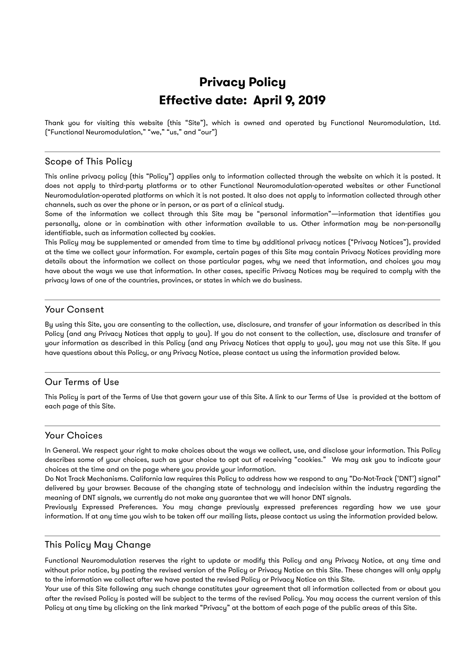# **Privacy Policy Effective date: April 9, 2019**

Thank you for visiting this website (this "Site"), which is owned and operated by Functional Neuromodulation, Ltd. ("Functional Neuromodulation," "we," "us," and "our")

#### Scope of This Policy

This online privacy policy (this "Policy") applies only to information collected through the website on which it is posted. It does not apply to third-party platforms or to other Functional Neuromodulation-operated websites or other Functional Neuromodulation-operated platforms on which it is not posted. It also does not apply to information collected through other channels, such as over the phone or in person, or as part of a clinical study.

Some of the information we collect through this Site may be "personal information"—information that identifies you personally, alone or in combination with other information available to us. Other information may be non-personally identifiable, such as information collected by cookies.

This Policy may be supplemented or amended from time to time by additional privacy notices ("Privacy Notices"), provided at the time we collect your information. For example, certain pages of this Site may contain Privacy Notices providing more details about the information we collect on those particular pages, why we need that information, and choices you may have about the ways we use that information. In other cases, specific Privacy Notices may be required to comply with the privacy laws of one of the countries, provinces, or states in which we do business.

# Your Consent

By using this Site, you are consenting to the collection, use, disclosure, and transfer of your information as described in this Policy (and any Privacy Notices that apply to you). If you do not consent to the collection, use, disclosure and transfer of your information as described in this Policy (and any Privacy Notices that apply to you), you may not use this Site. If you have questions about this Policy, or any Privacy Notice, please contact us using the information provided below.

# Our Terms of Use

This Policy is part of the Terms of Use that govern your use of this Site. A link to our Terms of Use is provided at the bottom of each page of this Site.

## Your Choices

In General. We respect your right to make choices about the ways we collect, use, and disclose your information. This Policy describes some of your choices, such as your choice to opt out of receiving "cookies." We may ask you to indicate your choices at the time and on the page where you provide your information.

Do Not Track Mechanisms. California law requires this Policy to address how we respond to any "Do-Not-Track ('DNT') signal" delivered by your browser. Because of the changing state of technology and indecision within the industry regarding the meaning of DNT signals, we currently do not make any guarantee that we will honor DNT signals.

Previously Expressed Preferences. You may change previously expressed preferences regarding how we use your information. If at any time you wish to be taken off our mailing lists, please contact us using the information provided below.

## This Policy May Change

Functional Neuromodulation reserves the right to update or modify this Policy and any Privacy Notice, at any time and without prior notice, by posting the revised version of the Policy or Privacy Notice on this Site. These changes will only apply to the information we collect after we have posted the revised Policy or Privacy Notice on this Site.

Your use of this Site following any such change constitutes your agreement that all information collected from or about you after the revised Policy is posted will be subject to the terms of the revised Policy. You may access the current version of this Policy at any time by clicking on the link marked "Privacy" at the bottom of each page of the public areas of this Site.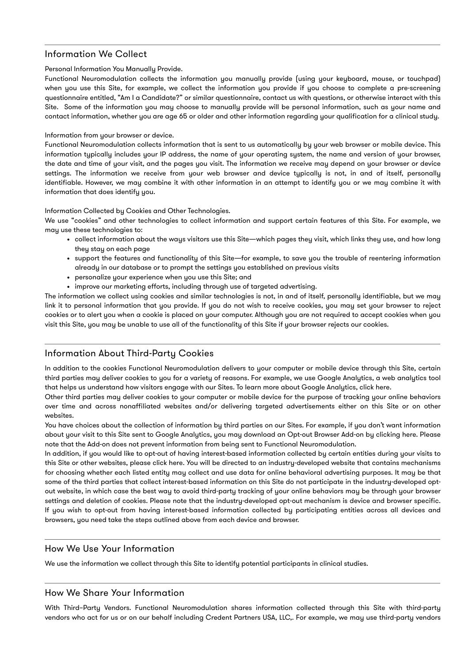## Information We Collect

#### Personal Information You Manually Provide.

Functional Neuromodulation collects the information you manually provide (using your keyboard, mouse, or touchpad) when you use this Site, for example, we collect the information you provide if you choose to complete a pre-screening questionnaire entitled, "Am I a Candidate?" or similar questionnaire, contact us with questions, or otherwise interact with this Site. Some of the information you may choose to manually provide will be personal information, such as your name and contact information, whether you are age 65 or older and other information regarding your qualification for a clinical study.

#### Information from your browser or device.

Functional Neuromodulation collects information that is sent to us automatically by your web browser or mobile device. This information typically includes your IP address, the name of your operating system, the name and version of your browser, the date and time of your visit, and the pages you visit. The information we receive may depend on your browser or device settings. The information we receive from your web browser and device typically is not, in and of itself, personally identifiable. However, we may combine it with other information in an attempt to identify you or we may combine it with information that does identify you.

#### Information Collected by Cookies and Other Technologies.

We use "cookies" and other technologies to collect information and support certain features of this Site. For example, we may use these technologies to:

- collect information about the ways visitors use this Site—which pages they visit, which links they use, and how long they stay on each page
- support the features and functionality of this Site—for example, to save you the trouble of reentering information already in our database or to prompt the settings you established on previous visits
- personalize your experience when you use this Site; and
- improve our marketing efforts, including through use of targeted advertising.

The information we collect using cookies and similar technologies is not, in and of itself, personally identifiable, but we may link it to personal information that you provide. If you do not wish to receive cookies, you may set your browser to reject cookies or to alert you when a cookie is placed on your computer. Although you are not required to accept cookies when you visit this Site, you may be unable to use all of the functionality of this Site if your browser rejects our cookies.

# Information About Third-Party Cookies

In addition to the cookies Functional Neuromodulation delivers to your computer or mobile device through this Site, certain third parties may deliver cookies to you for a variety of reasons. For example, we use Google Analytics, a web analytics tool that helps us understand how visitors engage with our Sites. To learn more about Google Analytics, click here.

Other third parties may deliver cookies to your computer or mobile device for the purpose of tracking your online behaviors over time and across nonaffiliated websites and/or delivering targeted advertisements either on this Site or on other websites.

You have choices about the collection of information by third parties on our Sites. For example, if you don't want information about your visit to this Site sent to Google Analytics, you may download an Opt-out Browser Add-on by clicking here. Please note that the Add-on does not prevent information from being sent to Functional Neuromodulation.

In addition, if you would like to opt-out of having interest-based information collected by certain entities during your visits to this Site or other websites, please click here. You will be directed to an industry-developed website that contains mechanisms for choosing whether each listed entity may collect and use data for online behavioral advertising purposes. It may be that some of the third parties that collect interest-based information on this Site do not participate in the industry-developed optout website, in which case the best way to avoid third-party tracking of your online behaviors may be through your browser settings and deletion of cookies. Please note that the industry-developed opt-out mechanism is device and browser specific. If you wish to opt-out from having interest-based information collected by participating entities across all devices and browsers, you need take the steps outlined above from each device and browser.

## How We Use Your Information

We use the information we collect through this Site to identify potential participants in clinical studies.

## How We Share Your Information

With Third–Party Vendors. Functional Neuromodulation shares information collected through this Site with third-party vendors who act for us or on our behalf including Credent Partners USA, LLC,. For example, we may use third-party vendors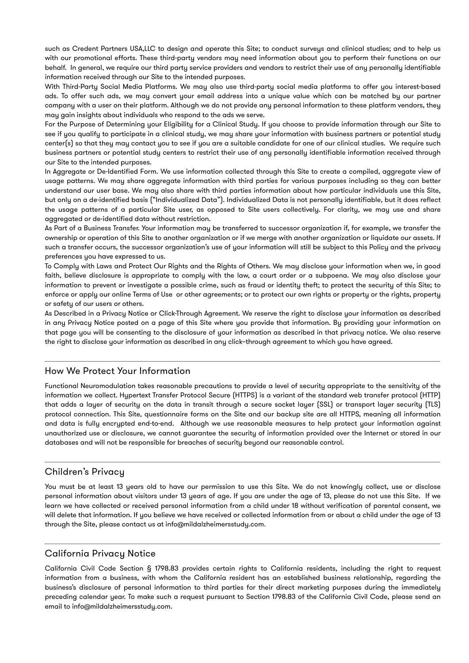such as Credent Partners USA,LLC to design and operate this Site; to conduct surveys and clinical studies; and to help us with our promotional efforts. These third-party vendors may need information about you to perform their functions on our behalf. In general, we require our third party service providers and vendors to restrict their use of any personally identifiable information received through our Site to the intended purposes.

With Third-Party Social Media Platforms. We may also use third-party social media platforms to offer you interest-based ads. To offer such ads, we may convert your email address into a unique value which can be matched by our partner company with a user on their platform. Although we do not provide any personal information to these platform vendors, they may gain insights about individuals who respond to the ads we serve.

For the Purpose of Determining your Eligibility for a Clinical Study. If you choose to provide information through our Site to see if you qualify to participate in a clinical study, we may share your information with business partners or potential study center(s) so that they may contact you to see if you are a suitable candidate for one of our clinical studies. We require such business partners or potential study centers to restrict their use of any personally identifiable information received through our Site to the intended purposes.

In Aggregate or De-Identified Form. We use information collected through this Site to create a compiled, aggregate view of usage patterns. We may share aggregate information with third parties for various purposes including so they can better understand our user base. We may also share with third parties information about how particular individuals use this Site, but only on a de-identified basis ("Individualized Data"). Individualized Data is not personally identifiable, but it does reflect the usage patterns of a particular Site user, as opposed to Site users collectively. For clarity, we may use and share aggregated or de-identified data without restriction.

As Part of a Business Transfer. Your information may be transferred to successor organization if, for example, we transfer the ownership or operation of this Site to another organization or if we merge with another organization or liquidate our assets. If such a transfer occurs, the successor organization's use of your information will still be subject to this Policy and the privacy preferences you have expressed to us.

To Comply with Laws and Protect Our Rights and the Rights of Others. We may disclose your information when we, in good faith, believe disclosure is appropriate to comply with the law, a court order or a subpoena. We may also disclose your information to prevent or investigate a possible crime, such as fraud or identity theft; to protect the security of this Site; to enforce or apply our online Terms of Use or other agreements; or to protect our own rights or property or the rights, property or safety of our users or others.

As Described in a Privacy Notice or Click-Through Agreement. We reserve the right to disclose your information as described in any Privacy Notice posted on a page of this Site where you provide that information. By providing your information on that page you will be consenting to the disclosure of your information as described in that privacy notice. We also reserve the right to disclose your information as described in any click–through agreement to which you have agreed.

#### How We Protect Your Information

Functional Neuromodulation takes reasonable precautions to provide a level of security appropriate to the sensitivity of the information we collect. Hypertext Transfer Protocol Secure (HTTPS) is a variant of the standard web transfer protocol (HTTP) that adds a layer of security on the data in transit through a secure socket layer (SSL) or transport layer security (TLS) protocol connection. This Site, questionnaire forms on the Site and our backup site are all HTTPS, meaning all information and data is fully encrypted end-to-end. Although we use reasonable measures to help protect your information against unauthorized use or disclosure, we cannot guarantee the security of information provided over the Internet or stored in our databases and will not be responsible for breaches of security beyond our reasonable control.

# Children's Privacy

You must be at least 13 years old to have our permission to use this Site. We do not knowingly collect, use or disclose personal information about visitors under 13 years of age. If you are under the age of 13, please do not use this Site. If we learn we have collected or received personal information from a child under 18 without verification of parental consent, we will delete that information. If you believe we have received or collected information from or about a child under the age of 13 through the Site, please contact us at info@mildalzheimersstudy.com.

## California Privacy Notice

California Civil Code Section § 1798.83 provides certain rights to California residents, including the right to request information from a business, with whom the California resident has an established business relationship, regarding the business's disclosure of personal information to third parties for their direct marketing purposes during the immediately preceding calendar year. To make such a request pursuant to Section 1798.83 of the California Civil Code, please send an email to info@mildalzheimersstudy.com.